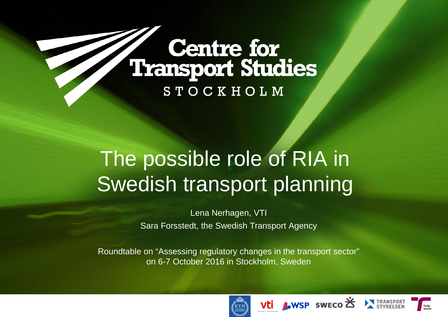# Centre for<br>Transport Studies **STOCKHOLM**

# The possible role of RIA in Swedish transport planning

Lena Nerhagen, VTI Sara Forsstedt, the Swedish Transport Agency

Roundtable on "Assessing regulatory changes in the transport sector" on 6-7 October 2016 in Stockholm, Sweden







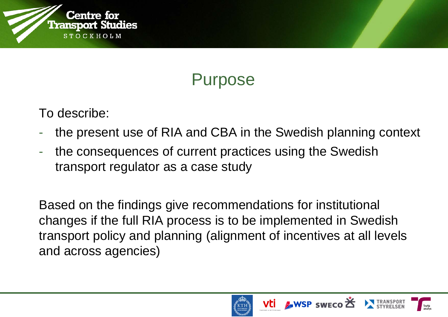

#### Purpose

To describe:

- the present use of RIA and CBA in the Swedish planning context
- the consequences of current practices using the Swedish transport regulator as a case study

Based on the findings give recommendations for institutional changes if the full RIA process is to be implemented in Swedish transport policy and planning (alignment of incentives at all levels and across agencies)





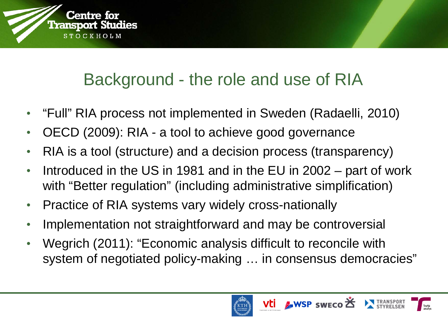

### Background - the role and use of RIA

- "Full" RIA process not implemented in Sweden (Radaelli, 2010)
- OECD (2009): RIA a tool to achieve good governance
- RIA is a tool (structure) and a decision process (transparency)
- Introduced in the US in 1981 and in the EU in 2002 part of work with "Better regulation" (including administrative simplification)
- Practice of RIA systems vary widely cross-nationally
- Implementation not straightforward and may be controversial
- Wegrich (2011): "Economic analysis difficult to reconcile with system of negotiated policy-making … in consensus democracies"



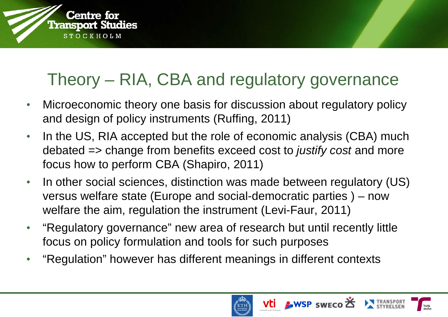

### Theory – RIA, CBA and regulatory governance

- Microeconomic theory one basis for discussion about regulatory policy and design of policy instruments (Ruffing, 2011)
- In the US, RIA accepted but the role of economic analysis (CBA) much debated => change from benefits exceed cost to *justify cost* and more focus how to perform CBA (Shapiro, 2011)
- In other social sciences, distinction was made between regulatory (US) versus welfare state (Europe and social-democratic parties ) – now welfare the aim, regulation the instrument (Levi-Faur, 2011)
- "Regulatory governance" new area of research but until recently little focus on policy formulation and tools for such purposes
- "Regulation" however has different meanings in different contexts



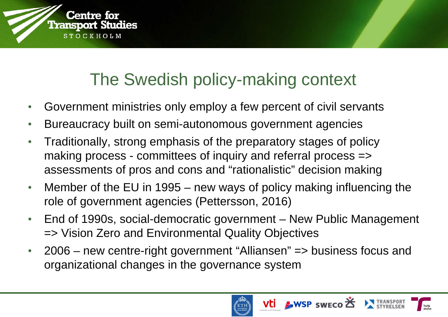### The Swedish policy-making context

- Government ministries only employ a few percent of civil servants
- Bureaucracy built on semi-autonomous government agencies

Centre for **Transport Studies** 

 $OCHHOLM$ 

- Traditionally, strong emphasis of the preparatory stages of policy making process - committees of inquiry and referral process => assessments of pros and cons and "rationalistic" decision making
- Member of the EU in 1995 new ways of policy making influencing the role of government agencies (Pettersson, 2016)
- End of 1990s, social-democratic government New Public Management => Vision Zero and Environmental Quality Objectives
- 2006 new centre-right government "Alliansen" => business focus and organizational changes in the governance system





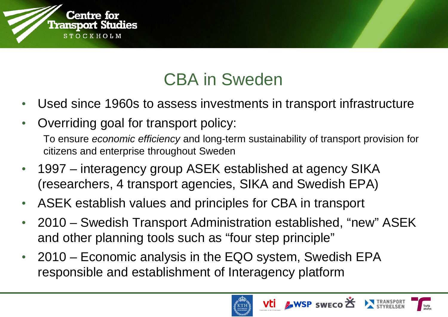

### CBA in Sweden

- Used since 1960s to assess investments in transport infrastructure
- Overriding goal for transport policy:

To ensure *economic efficiency* and long-term sustainability of transport provision for citizens and enterprise throughout Sweden

- 1997 interagency group ASEK established at agency SIKA (researchers, 4 transport agencies, SIKA and Swedish EPA)
- ASEK establish values and principles for CBA in transport
- 2010 Swedish Transport Administration established, "new" ASEK and other planning tools such as "four step principle"
- 2010 Economic analysis in the EQO system, Swedish EPA responsible and establishment of Interagency platform



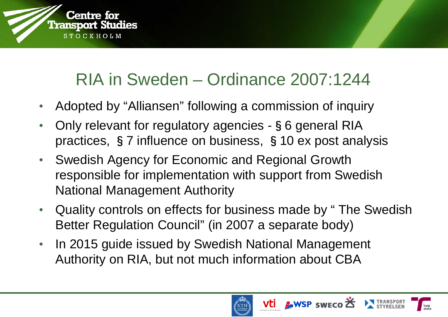

#### RIA in Sweden – Ordinance 2007:1244

- Adopted by "Alliansen" following a commission of inquiry
- Only relevant for regulatory agencies §6 general RIA practices, §7 influence on business, §10 ex post analysis
- Swedish Agency for Economic and Regional Growth responsible for implementation with support from Swedish National Management Authority
- Quality controls on effects for business made by " The Swedish Better Regulation Council" (in 2007 a separate body)
- In 2015 guide issued by Swedish National Management Authority on RIA, but not much information about CBA



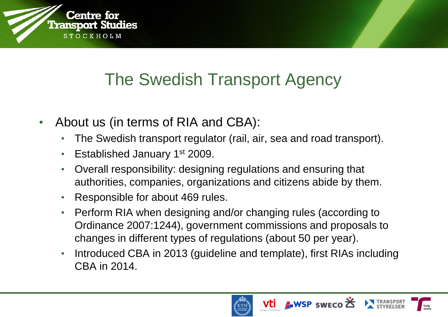

#### The Swedish Transport Agency

- About us (in terms of RIA and CBA):
	- The Swedish transport regulator (rail, air, sea and road transport).
	- Established January 1<sup>st</sup> 2009.
	- Overall responsibility: designing regulations and ensuring that authorities, companies, organizations and citizens abide by them.
	- Responsible for about 469 rules.
	- Perform RIA when designing and/or changing rules (according to Ordinance 2007:1244), government commissions and proposals to changes in different types of regulations (about 50 per year).
	- Introduced CBA in 2013 (guideline and template), first RIAs including CBA in 2014.





Vti AWSP SWECO

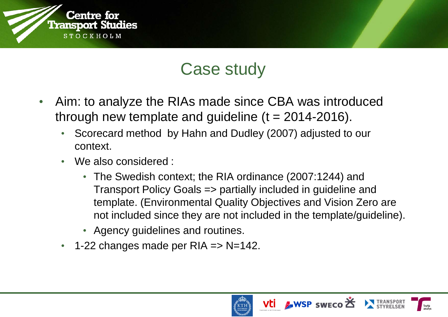

#### Case study

- Aim: to analyze the RIAs made since CBA was introduced through new template and guideline  $(t = 2014 - 2016)$ .
	- Scorecard method by Hahn and Dudley (2007) adjusted to our context.
	- We also considered :
		- The Swedish context; the RIA ordinance (2007:1244) and Transport Policy Goals => partially included in guideline and template. (Environmental Quality Objectives and Vision Zero are not included since they are not included in the template/guideline).
		- Agency guidelines and routines.
	- $\cdot$  1-22 changes made per RIA => N=142.





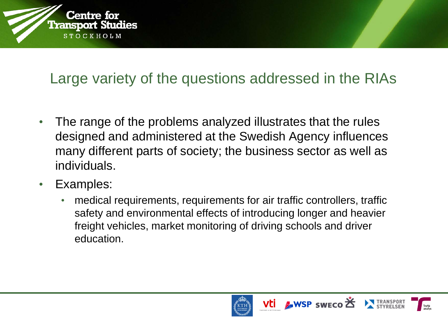

#### Large variety of the questions addressed in the RIAs

- The range of the problems analyzed illustrates that the rules designed and administered at the Swedish Agency influences many different parts of society; the business sector as well as individuals.
- Examples:
	- medical requirements, requirements for air traffic controllers, traffic safety and environmental effects of introducing longer and heavier freight vehicles, market monitoring of driving schools and driver education.





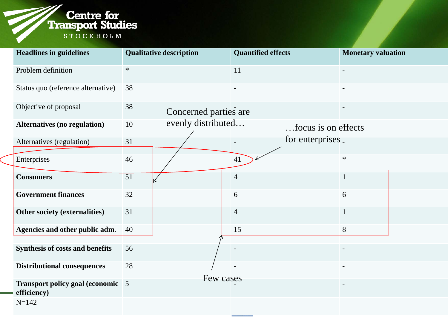

| <b>Headlines in guidelines</b>                   | <b>Qualitative description</b> | <b>Quantified effects</b> | <b>Monetary valuation</b> |  |
|--------------------------------------------------|--------------------------------|---------------------------|---------------------------|--|
| Problem definition                               | $\ast$                         | 11                        | $\blacksquare$            |  |
| Status quo (reference alternative)               | 38                             |                           |                           |  |
| Objective of proposal                            | 38<br>Concerned parties are    |                           |                           |  |
| <b>Alternatives (no regulation)</b>              | evenly distributed<br>10       |                           | focus is on effects       |  |
| Alternatives (regulation)                        | 31                             |                           | for enterprises.          |  |
| Enterprises                                      | 46                             | 41                        | $\ast$                    |  |
| <b>Consumers</b>                                 | $\overline{51}$                | $\overline{4}$            |                           |  |
| <b>Government finances</b>                       | 32                             | 6                         | 6                         |  |
| Other society (externalities)                    | 31                             | $\overline{4}$            |                           |  |
| Agencies and other public adm.                   | 40                             | 15                        | 8                         |  |
| <b>Synthesis of costs and benefits</b>           | 56                             |                           |                           |  |
| <b>Distributional consequences</b>               | 28                             |                           |                           |  |
| Transport policy goal (economic 5<br>efficiency) |                                | Few cases                 | $\overline{\phantom{a}}$  |  |
| $N = 142$                                        |                                |                           |                           |  |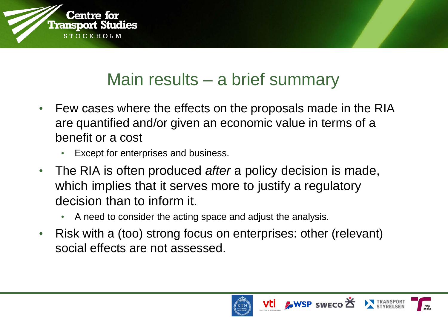

#### Main results – a brief summary

- Few cases where the effects on the proposals made in the RIA are quantified and/or given an economic value in terms of a benefit or a cost
	- Except for enterprises and business.
- The RIA is often produced *after* a policy decision is made, which implies that it serves more to justify a regulatory decision than to inform it.
	- A need to consider the acting space and adjust the analysis.
- Risk with a (too) strong focus on enterprises: other (relevant) social effects are not assessed.





Vti AWSP SWECO

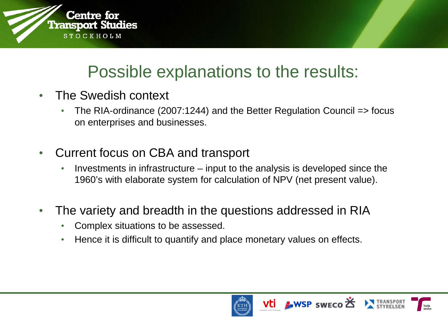

#### Possible explanations to the results:

- The Swedish context
	- The RIA-ordinance (2007:1244) and the Better Regulation Council => focus on enterprises and businesses.
- Current focus on CBA and transport
	- Investments in infrastructure input to the analysis is developed since the 1960's with elaborate system for calculation of NPV (net present value).
- The variety and breadth in the questions addressed in RIA
	- Complex situations to be assessed.
	- Hence it is difficult to quantify and place monetary values on effects.



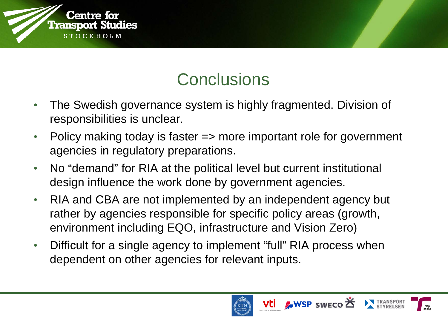

#### **Conclusions**

- The Swedish governance system is highly fragmented. Division of responsibilities is unclear.
- Policy making today is faster => more important role for government agencies in regulatory preparations.
- No "demand" for RIA at the political level but current institutional design influence the work done by government agencies.
- RIA and CBA are not implemented by an independent agency but rather by agencies responsible for specific policy areas (growth, environment including EQO, infrastructure and Vision Zero)
- Difficult for a single agency to implement "full" RIA process when dependent on other agencies for relevant inputs.